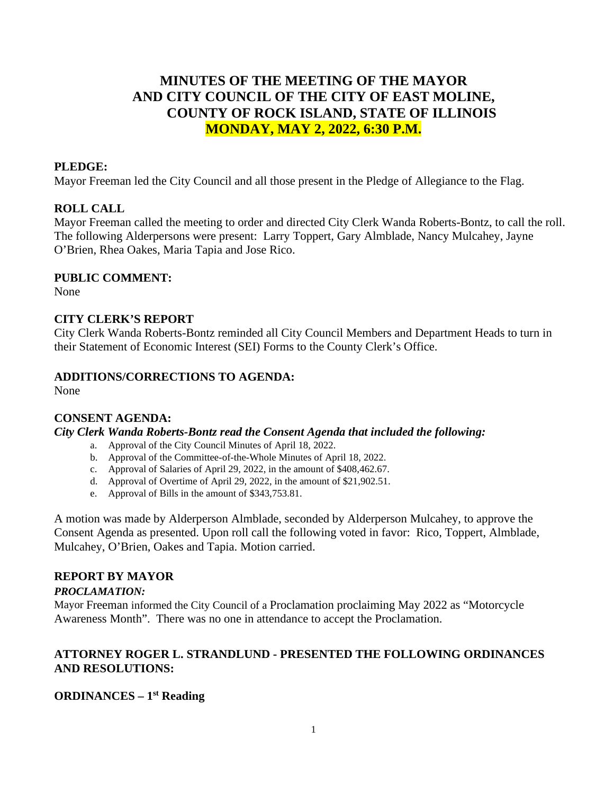# **MINUTES OF THE MEETING OF THE MAYOR AND CITY COUNCIL OF THE CITY OF EAST MOLINE, COUNTY OF ROCK ISLAND, STATE OF ILLINOIS MONDAY, MAY 2, 2022, 6:30 P.M.**

#### **PLEDGE:**

Mayor Freeman led the City Council and all those present in the Pledge of Allegiance to the Flag.

### **ROLL CALL**

Mayor Freeman called the meeting to order and directed City Clerk Wanda Roberts-Bontz, to call the roll. The following Alderpersons were present: Larry Toppert, Gary Almblade, Nancy Mulcahey, Jayne O'Brien, Rhea Oakes, Maria Tapia and Jose Rico.

#### **PUBLIC COMMENT:**

None

#### **CITY CLERK'S REPORT**

City Clerk Wanda Roberts-Bontz reminded all City Council Members and Department Heads to turn in their Statement of Economic Interest (SEI) Forms to the County Clerk's Office.

#### **ADDITIONS/CORRECTIONS TO AGENDA:**

None

#### **CONSENT AGENDA:**

*City Clerk Wanda Roberts-Bontz read the Consent Agenda that included the following:*

- a. Approval of the City Council Minutes of April 18, 2022.
- b. Approval of the Committee-of-the-Whole Minutes of April 18, 2022.
- c. Approval of Salaries of April 29, 2022, in the amount of \$408,462.67.
- d. Approval of Overtime of April 29, 2022, in the amount of \$21,902.51.
- e. Approval of Bills in the amount of \$343,753.81.

A motion was made by Alderperson Almblade, seconded by Alderperson Mulcahey, to approve the Consent Agenda as presented. Upon roll call the following voted in favor: Rico, Toppert, Almblade, Mulcahey, O'Brien, Oakes and Tapia. Motion carried.

#### **REPORT BY MAYOR**

#### *PROCLAMATION:*

Mayor Freeman informed the City Council of a Proclamation proclaiming May 2022 as "Motorcycle Awareness Month". There was no one in attendance to accept the Proclamation.

### **ATTORNEY ROGER L. STRANDLUND - PRESENTED THE FOLLOWING ORDINANCES AND RESOLUTIONS:**

#### **ORDINANCES – 1st Reading**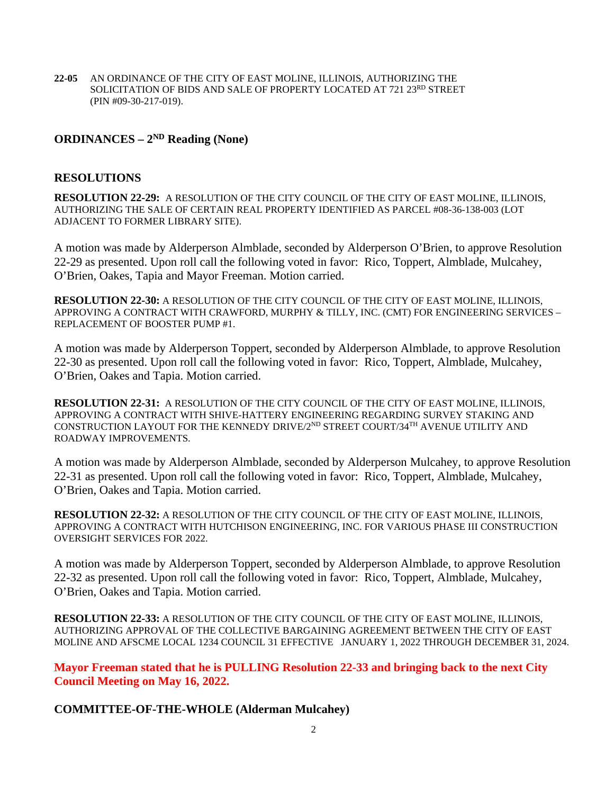**22-05** AN ORDINANCE OF THE CITY OF EAST MOLINE, ILLINOIS, AUTHORIZING THE SOLICITATION OF BIDS AND SALE OF PROPERTY LOCATED AT 721 23RD STREET (PIN #09-30-217-019).

## **ORDINANCES – 2ND Reading (None)**

#### **RESOLUTIONS**

**RESOLUTION 22-29:** A RESOLUTION OF THE CITY COUNCIL OF THE CITY OF EAST MOLINE, ILLINOIS, AUTHORIZING THE SALE OF CERTAIN REAL PROPERTY IDENTIFIED AS PARCEL #08-36-138-003 (LOT ADJACENT TO FORMER LIBRARY SITE).

A motion was made by Alderperson Almblade, seconded by Alderperson O'Brien, to approve Resolution 22-29 as presented. Upon roll call the following voted in favor: Rico, Toppert, Almblade, Mulcahey, O'Brien, Oakes, Tapia and Mayor Freeman. Motion carried.

**RESOLUTION 22-30:** A RESOLUTION OF THE CITY COUNCIL OF THE CITY OF EAST MOLINE, ILLINOIS, APPROVING A CONTRACT WITH CRAWFORD, MURPHY & TILLY, INC. (CMT) FOR ENGINEERING SERVICES – REPLACEMENT OF BOOSTER PUMP #1.

A motion was made by Alderperson Toppert, seconded by Alderperson Almblade, to approve Resolution 22-30 as presented. Upon roll call the following voted in favor: Rico, Toppert, Almblade, Mulcahey, O'Brien, Oakes and Tapia. Motion carried.

**RESOLUTION 22-31:** A RESOLUTION OF THE CITY COUNCIL OF THE CITY OF EAST MOLINE, ILLINOIS, APPROVING A CONTRACT WITH SHIVE-HATTERY ENGINEERING REGARDING SURVEY STAKING AND CONSTRUCTION LAYOUT FOR THE KENNEDY DRIVE/2<sup>ND</sup> STREET COURT/34<sup>TH</sup> AVENUE UTILITY AND ROADWAY IMPROVEMENTS.

A motion was made by Alderperson Almblade, seconded by Alderperson Mulcahey, to approve Resolution 22-31 as presented. Upon roll call the following voted in favor: Rico, Toppert, Almblade, Mulcahey, O'Brien, Oakes and Tapia. Motion carried.

**RESOLUTION 22-32:** A RESOLUTION OF THE CITY COUNCIL OF THE CITY OF EAST MOLINE, ILLINOIS, APPROVING A CONTRACT WITH HUTCHISON ENGINEERING, INC. FOR VARIOUS PHASE III CONSTRUCTION OVERSIGHT SERVICES FOR 2022.

A motion was made by Alderperson Toppert, seconded by Alderperson Almblade, to approve Resolution 22-32 as presented. Upon roll call the following voted in favor: Rico, Toppert, Almblade, Mulcahey, O'Brien, Oakes and Tapia. Motion carried.

**RESOLUTION 22-33:** A RESOLUTION OF THE CITY COUNCIL OF THE CITY OF EAST MOLINE, ILLINOIS, AUTHORIZING APPROVAL OF THE COLLECTIVE BARGAINING AGREEMENT BETWEEN THE CITY OF EAST MOLINE AND AFSCME LOCAL 1234 COUNCIL 31 EFFECTIVE JANUARY 1, 2022 THROUGH DECEMBER 31, 2024.

**Mayor Freeman stated that he is PULLING Resolution 22-33 and bringing back to the next City Council Meeting on May 16, 2022.**

**COMMITTEE-OF-THE-WHOLE (Alderman Mulcahey)**